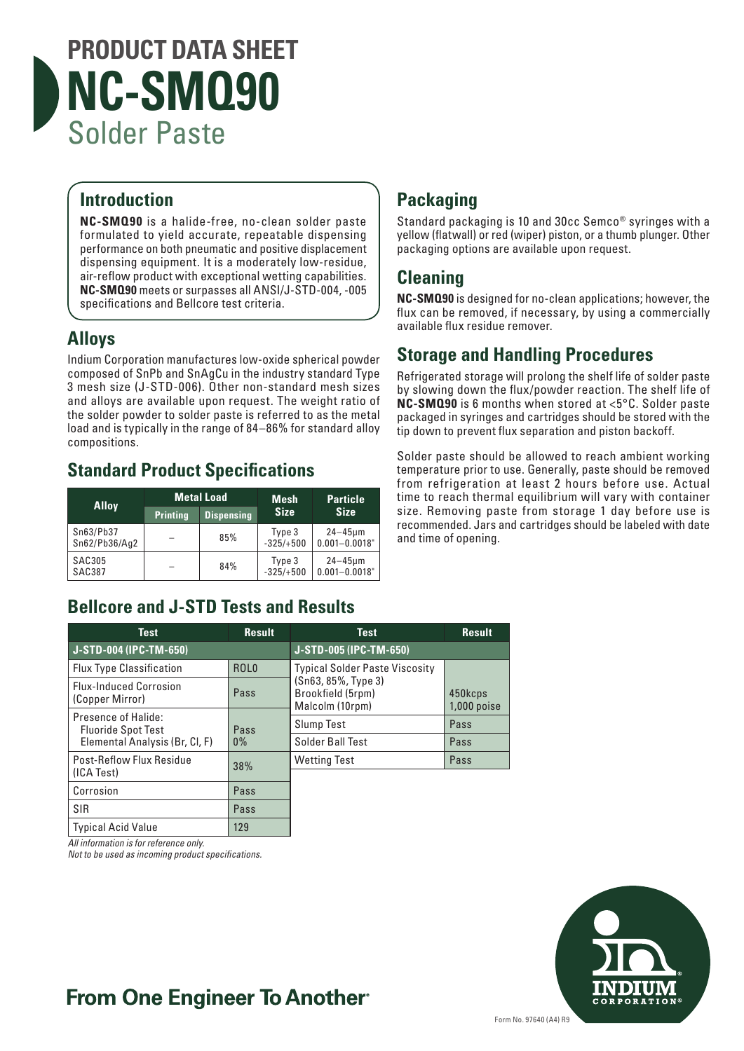

#### **Introduction**

**NC-SMQ90** is a halide-free, no-clean solder paste formulated to yield accurate, repeatable dispensing performance on both pneumatic and positive displacement dispensing equipment. It is a moderately low-residue, air-reflow product with exceptional wetting capabilities. **NC-SMQ90** meets or surpasses all ANSI/J-STD-004, -005 specifications and Bellcore test criteria.

### **Alloys**

Indium Corporation manufactures low-oxide spherical powder composed of SnPb and SnAgCu in the industry standard Type 3 mesh size (J-STD-006). Other non-standard mesh sizes and alloys are available upon request. The weight ratio of the solder powder to solder paste is referred to as the metal load and is typically in the range of 84–86% for standard alloy compositions.

### **Standard Product Specifications**

| <b>Alloy</b>               | <b>Metal Load</b> |                   | <b>Mesh</b>           | <b>Particle</b>                      |
|----------------------------|-------------------|-------------------|-----------------------|--------------------------------------|
|                            | <b>Printing</b>   | <b>Dispensing</b> | <b>Size</b>           | <b>Size</b>                          |
| Sn63/Pb37<br>Sn62/Pb36/Aq2 |                   | 85%               | Type 3<br>$-325/+500$ | $24 - 45 \mu m$<br>$0.001 - 0.0018"$ |
| <b>SAC305</b><br>SAC387    |                   | 84%               | Type 3<br>$-325/+500$ | $24 - 45 \mu m$<br>$0.001 - 0.0018"$ |

### **Bellcore and J-STD Tests and Results**

#### **Test Result J-STD-005 (IPC-TM-650)** Typical Solder Paste Viscosity (Sn63, 85%, Type 3) Brookfield (5rpm) Malcolm (10rpm) 450kcps 1,000 poise Slump Test Pass Solder Ball Test Pass Wetting Test **Pass Test Result J-STD-004 (IPC-TM-650)** Flux Type Classification | ROLO Flux-Induced Corrosion Plux-Induced Corrosion<br>(Copper Mirror) Pass Presence of Halide: Fluoride Spot Test Elemental Analysis (Br, Cl, F) Pass 0% Post-Reflow Flux Residue Post-Reflow Flux Residue<br>(ICA Test) 38% Corrosion Pass SIR Pass

*All information is for reference only.* 

*Not to be used as incoming product specifications.*

Typical Acid Value 129

### **Packaging**

Standard packaging is 10 and 30cc Semco® syringes with a yellow (flatwall) or red (wiper) piston, or a thumb plunger. Other packaging options are available upon request.

#### **Cleaning**

**NC-SMQ90** is designed for no-clean applications; however, the flux can be removed, if necessary, by using a commercially available flux residue remover.

### **Storage and Handling Procedures**

Refrigerated storage will prolong the shelf life of solder paste by slowing down the flux/powder reaction. The shelf life of **NC-SMQ90** is 6 months when stored at <5°C. Solder paste packaged in syringes and cartridges should be stored with the tip down to prevent flux separation and piston backoff.

Solder paste should be allowed to reach ambient working temperature prior to use. Generally, paste should be removed from refrigeration at least 2 hours before use. Actual time to reach thermal equilibrium will vary with container size. Removing paste from storage 1 day before use is recommended. Jars and cartridges should be labeled with date and time of opening.



## **From One Engineer To Another**®